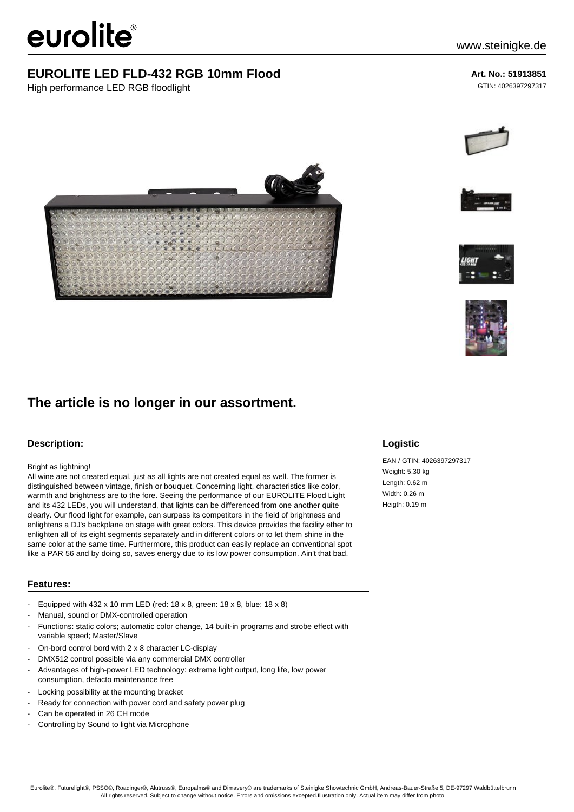# eurolite®

# **EUROLITE LED FLD-432 RGB 10mm Flood**

High performance LED RGB floodlight

## **Art. No.: 51913851**

GTIN: 4026397297317









# **The article is no longer in our assortment.**

### **Description:**

#### Bright as lightning!

All wine are not created equal, just as all lights are not created equal as well. The former is distinguished between vintage, finish or bouquet. Concerning light, characteristics like color, warmth and brightness are to the fore. Seeing the performance of our EUROLITE Flood Light and its 432 LEDs, you will understand, that lights can be differenced from one another quite clearly. Our flood light for example, can surpass its competitors in the field of brightness and enlightens a DJ's backplane on stage with great colors. This device provides the facility ether to enlighten all of its eight segments separately and in different colors or to let them shine in the same color at the same time. Furthermore, this product can easily replace an conventional spot like a PAR 56 and by doing so, saves energy due to its low power consumption. Ain't that bad.

#### **Features:**

- Equipped with 432 x 10 mm LED (red: 18 x 8, green: 18 x 8, blue: 18 x 8)
- Manual, sound or DMX-controlled operation
- Functions: static colors; automatic color change, 14 built-in programs and strobe effect with variable speed; Master/Slave
- On-bord control bord with 2 x 8 character LC-display
- DMX512 control possible via any commercial DMX controller
- Advantages of high-power LED technology: extreme light output, long life, low power consumption, defacto maintenance free
- Locking possibility at the mounting bracket
- Ready for connection with power cord and safety power plug
- Can be operated in 26 CH mode
- Controlling by Sound to light via Microphone

### **Logistic**

EAN / GTIN: 4026397297317 Weight: 5,30 kg Length: 0.62 m Width: 0.26 m Heigth: 0.19 m

Eurolite®, Futurelight®, PSSO®, Roadinger®, Alutruss®, Europalms® and Dimavery® are trademarks of Steinigke Showtechnic GmbH, Andreas-Bauer-Straße 5, DE-97297 Waldbüttelbrunn All rights reserved. Subject to change without notice. Errors and omissions excepted.Illustration only. Actual item may differ from photo.